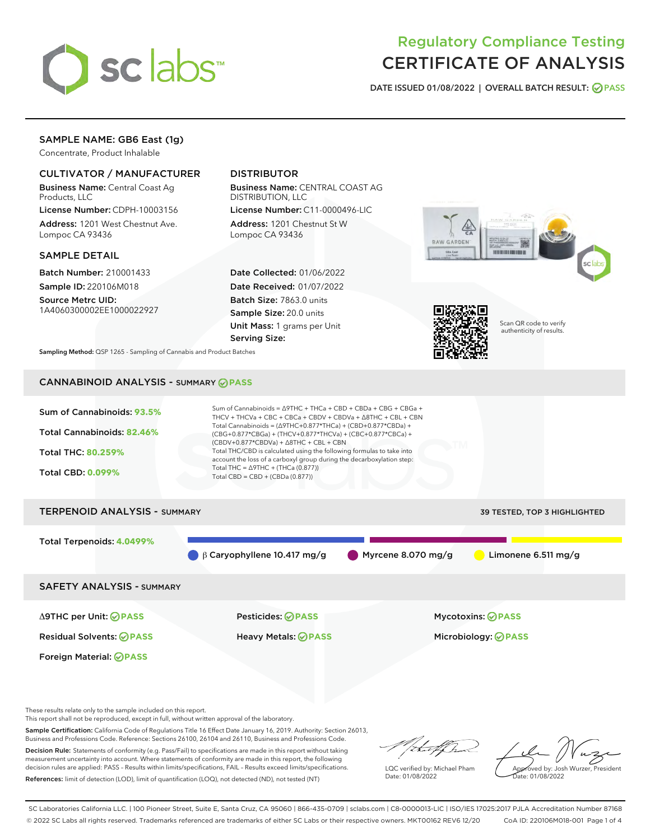

# Regulatory Compliance Testing CERTIFICATE OF ANALYSIS

DATE ISSUED 01/08/2022 | OVERALL BATCH RESULT: @ PASS

# SAMPLE NAME: GB6 East (1g)

Concentrate, Product Inhalable

# CULTIVATOR / MANUFACTURER

Business Name: Central Coast Ag Products, LLC

License Number: CDPH-10003156 Address: 1201 West Chestnut Ave. Lompoc CA 93436

#### SAMPLE DETAIL

Batch Number: 210001433 Sample ID: 220106M018

Source Metrc UID: 1A4060300002EE1000022927

# DISTRIBUTOR

Business Name: CENTRAL COAST AG DISTRIBUTION, LLC

License Number: C11-0000496-LIC Address: 1201 Chestnut St W Lompoc CA 93436

Date Collected: 01/06/2022 Date Received: 01/07/2022 Batch Size: 7863.0 units Sample Size: 20.0 units Unit Mass: 1 grams per Unit Serving Size:





Scan QR code to verify authenticity of results.

Sampling Method: QSP 1265 - Sampling of Cannabis and Product Batches

# CANNABINOID ANALYSIS - SUMMARY **PASS**



These results relate only to the sample included on this report.

This report shall not be reproduced, except in full, without written approval of the laboratory.

Sample Certification: California Code of Regulations Title 16 Effect Date January 16, 2019. Authority: Section 26013, Business and Professions Code. Reference: Sections 26100, 26104 and 26110, Business and Professions Code. Decision Rule: Statements of conformity (e.g. Pass/Fail) to specifications are made in this report without taking

measurement uncertainty into account. Where statements of conformity are made in this report, the following decision rules are applied: PASS – Results within limits/specifications, FAIL – Results exceed limits/specifications. References: limit of detection (LOD), limit of quantification (LOQ), not detected (ND), not tested (NT)

that f f h

LQC verified by: Michael Pham Date: 01/08/2022

Approved by: Josh Wurzer, President ate: 01/08/2022

SC Laboratories California LLC. | 100 Pioneer Street, Suite E, Santa Cruz, CA 95060 | 866-435-0709 | sclabs.com | C8-0000013-LIC | ISO/IES 17025:2017 PJLA Accreditation Number 87168 © 2022 SC Labs all rights reserved. Trademarks referenced are trademarks of either SC Labs or their respective owners. MKT00162 REV6 12/20 CoA ID: 220106M018-001 Page 1 of 4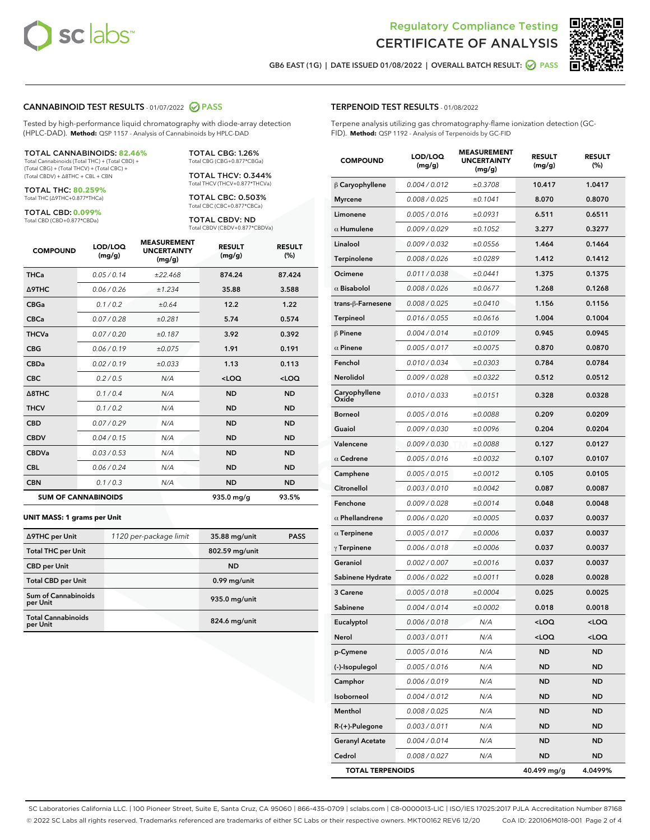



GB6 EAST (1G) | DATE ISSUED 01/08/2022 | OVERALL BATCH RESULT: @ PASS

#### CANNABINOID TEST RESULTS - 01/07/2022 2 PASS

Tested by high-performance liquid chromatography with diode-array detection (HPLC-DAD). **Method:** QSP 1157 - Analysis of Cannabinoids by HPLC-DAD

#### TOTAL CANNABINOIDS: **82.46%**

Total Cannabinoids (Total THC) + (Total CBD) + (Total CBG) + (Total THCV) + (Total CBC) + (Total CBDV) + ∆8THC + CBL + CBN

TOTAL THC: **80.259%** Total THC (∆9THC+0.877\*THCa)

TOTAL CBD: **0.099%**

Total CBD (CBD+0.877\*CBDa)

TOTAL CBG: 1.26% Total CBG (CBG+0.877\*CBGa)

TOTAL THCV: 0.344% Total THCV (THCV+0.877\*THCVa)

TOTAL CBC: 0.503% Total CBC (CBC+0.877\*CBCa)

TOTAL CBDV: ND Total CBDV (CBDV+0.877\*CBDVa)

| <b>COMPOUND</b>  | LOD/LOQ<br>(mg/g)          | <b>MEASUREMENT</b><br><b>UNCERTAINTY</b><br>(mg/g) | <b>RESULT</b><br>(mg/g) | <b>RESULT</b><br>(%) |
|------------------|----------------------------|----------------------------------------------------|-------------------------|----------------------|
| <b>THCa</b>      | 0.05/0.14                  | ±22.468                                            | 874.24                  | 87.424               |
| <b>A9THC</b>     | 0.06 / 0.26                | ±1.234                                             | 35.88                   | 3.588                |
| <b>CBGa</b>      | 0.1 / 0.2                  | ±0.64                                              | 12.2                    | 1.22                 |
| <b>CBCa</b>      | 0.07 / 0.28                | ±0.281                                             | 5.74                    | 0.574                |
| <b>THCVa</b>     | 0.07 / 0.20                | ±0.187                                             | 3.92                    | 0.392                |
| <b>CBG</b>       | 0.06/0.19                  | ±0.075                                             | 1.91                    | 0.191                |
| <b>CBDa</b>      | 0.02/0.19                  | ±0.033                                             | 1.13                    | 0.113                |
| <b>CBC</b>       | 0.2 / 0.5                  | N/A                                                | $<$ LOQ                 | $<$ LOQ              |
| $\triangle$ 8THC | 0.1 / 0.4                  | N/A                                                | <b>ND</b>               | <b>ND</b>            |
| <b>THCV</b>      | 0.1 / 0.2                  | N/A                                                | <b>ND</b>               | <b>ND</b>            |
| <b>CBD</b>       | 0.07/0.29                  | N/A                                                | <b>ND</b>               | <b>ND</b>            |
| <b>CBDV</b>      | 0.04 / 0.15                | N/A                                                | <b>ND</b>               | <b>ND</b>            |
| <b>CBDVa</b>     | 0.03 / 0.53                | N/A                                                | <b>ND</b>               | <b>ND</b>            |
| <b>CBL</b>       | 0.06 / 0.24                | N/A                                                | <b>ND</b>               | <b>ND</b>            |
| <b>CBN</b>       | 0.1/0.3                    | N/A                                                | <b>ND</b>               | <b>ND</b>            |
|                  | <b>SUM OF CANNABINOIDS</b> |                                                    | 935.0 mg/g              | 93.5%                |

#### **UNIT MASS: 1 grams per Unit**

| ∆9THC per Unit                        | 1120 per-package limit | 35.88 mg/unit   | <b>PASS</b> |
|---------------------------------------|------------------------|-----------------|-------------|
| <b>Total THC per Unit</b>             |                        | 802.59 mg/unit  |             |
| <b>CBD</b> per Unit                   |                        | <b>ND</b>       |             |
| <b>Total CBD per Unit</b>             |                        | 0.99 mg/unit    |             |
| Sum of Cannabinoids<br>per Unit       |                        | 935.0 mg/unit   |             |
| <b>Total Cannabinoids</b><br>per Unit |                        | $824.6$ mg/unit |             |

| ID). Method: QSP 1192 - Analysis of Terpenoids by GC-FID |                   |                                                    |                         |                      |  |  |
|----------------------------------------------------------|-------------------|----------------------------------------------------|-------------------------|----------------------|--|--|
| <b>COMPOUND</b>                                          | LOD/LOQ<br>(mg/g) | <b>MEASUREMENT</b><br><b>UNCERTAINTY</b><br>(mg/g) | <b>RESULT</b><br>(mg/g) | <b>RESULT</b><br>(%) |  |  |
| $\beta$ Caryophyllene                                    | 0.004 / 0.012     | ±0.3708                                            | 10.417                  | 1.0417               |  |  |
| Myrcene                                                  | 0.008 / 0.025     | ±0.1041                                            | 8.070                   | 0.8070               |  |  |
| Limonene                                                 | 0.005 / 0.016     | ±0.0931                                            | 6.511                   | 0.6511               |  |  |
| $\alpha$ Humulene                                        | 0.009 / 0.029     | ±0.1052                                            | 3.277                   | 0.3277               |  |  |
| Linalool                                                 | 0.009 / 0.032     | ±0.0556                                            | 1.464                   | 0.1464               |  |  |
| Terpinolene                                              | 0.008 / 0.026     | ±0.0289                                            | 1.412                   | 0.1412               |  |  |
| Ocimene                                                  | 0.011 / 0.038     | ±0.0441                                            | 1.375                   | 0.1375               |  |  |
| $\alpha$ Bisabolol                                       | 0.008 / 0.026     | ±0.0677                                            | 1.268                   | 0.1268               |  |  |
| trans-β-Farnesene                                        | 0.008 / 0.025     | ±0.0410                                            | 1.156                   | 0.1156               |  |  |
| Terpineol                                                | 0.016 / 0.055     | ±0.0616                                            | 1.004                   | 0.1004               |  |  |
| β Pinene                                                 | 0.004 / 0.014     | ±0.0109                                            | 0.945                   | 0.0945               |  |  |
| $\alpha$ Pinene                                          | 0.005 / 0.017     | ±0.0075                                            | 0.870                   | 0.0870               |  |  |
| Fenchol                                                  | 0.010 / 0.034     | ±0.0303                                            | 0.784                   | 0.0784               |  |  |
| Nerolidol                                                | 0.009 / 0.028     | ±0.0322                                            | 0.512                   | 0.0512               |  |  |
| Caryophyllene<br>Oxide                                   | 0.010 / 0.033     | ±0.0151                                            | 0.328                   | 0.0328               |  |  |
| Borneol                                                  | 0.005 / 0.016     | ±0.0088                                            | 0.209                   | 0.0209               |  |  |
| Guaiol                                                   | 0.009 / 0.030     | ±0.0096                                            | 0.204                   | 0.0204               |  |  |
| Valencene                                                | 0.009 / 0.030     | ±0.0088                                            | 0.127                   | 0.0127               |  |  |
| $\alpha$ Cedrene                                         | 0.005 / 0.016     | ±0.0032                                            | 0.107                   | 0.0107               |  |  |
| Camphene                                                 | 0.005 / 0.015     | ±0.0012                                            | 0.105                   | 0.0105               |  |  |
| Citronellol                                              | 0.003 / 0.010     | ±0.0042                                            | 0.087                   | 0.0087               |  |  |
| Fenchone                                                 | 0.009 / 0.028     | ±0.0014                                            | 0.048                   | 0.0048               |  |  |
| $\alpha$ Phellandrene                                    | 0.006 / 0.020     | ±0.0005                                            | 0.037                   | 0.0037               |  |  |
| $\alpha$ Terpinene                                       | 0.005 / 0.017     | ±0.0006                                            | 0.037                   | 0.0037               |  |  |
| $\gamma$ Terpinene                                       | 0.006 / 0.018     | ±0.0006                                            | 0.037                   | 0.0037               |  |  |
| Geraniol                                                 | 0.002 / 0.007     | ±0.0016                                            | 0.037                   | 0.0037               |  |  |
| Sabinene Hydrate                                         | 0.006 / 0.022     | ±0.0011                                            | 0.028                   | 0.0028               |  |  |
| <b>3 Carene</b>                                          | 0.005 / 0.018     | ±0.0004                                            | 0.025                   | 0.0025               |  |  |
| Sabinene                                                 | 0.004 / 0.014     | ±0.0002                                            | 0.018                   | 0.0018               |  |  |
|                                                          |                   |                                                    |                         |                      |  |  |

Eucalyptol 0.006 / 0.018 N/A <LOQ <LOQ Nerol 0.003 / 0.011 N/A <LOQ <LOQ **p-Cymene** 0.005/0.016 N/A ND ND (-)-Isopulegol 0.005 / 0.016 N/A ND ND Camphor 0.006 / 0.019 N/A ND ND Isoborneol 0.004 / 0.012 N/A ND ND Menthol 0.008 / 0.025 N/A ND ND R-(+)-Pulegone 0.003 / 0.011 N/A ND ND Geranyl Acetate  $0.004 / 0.014$  N/A ND ND Cedrol 0.008 / 0.027 N/A ND ND TOTAL TERPENOIDS 40.499 mg/g 4.0499%

# TERPENOID TEST RESULTS - 01/08/2022

Terpene analysis utilizing gas chromatography-flame ionization detection (GC-FID). **Method:** QSP 1192 - Analysis of Terpenoids by GC-FID

SC Laboratories California LLC. | 100 Pioneer Street, Suite E, Santa Cruz, CA 95060 | 866-435-0709 | sclabs.com | C8-0000013-LIC | ISO/IES 17025:2017 PJLA Accreditation Number 87168 © 2022 SC Labs all rights reserved. Trademarks referenced are trademarks of either SC Labs or their respective owners. MKT00162 REV6 12/20 CoA ID: 220106M018-001 Page 2 of 4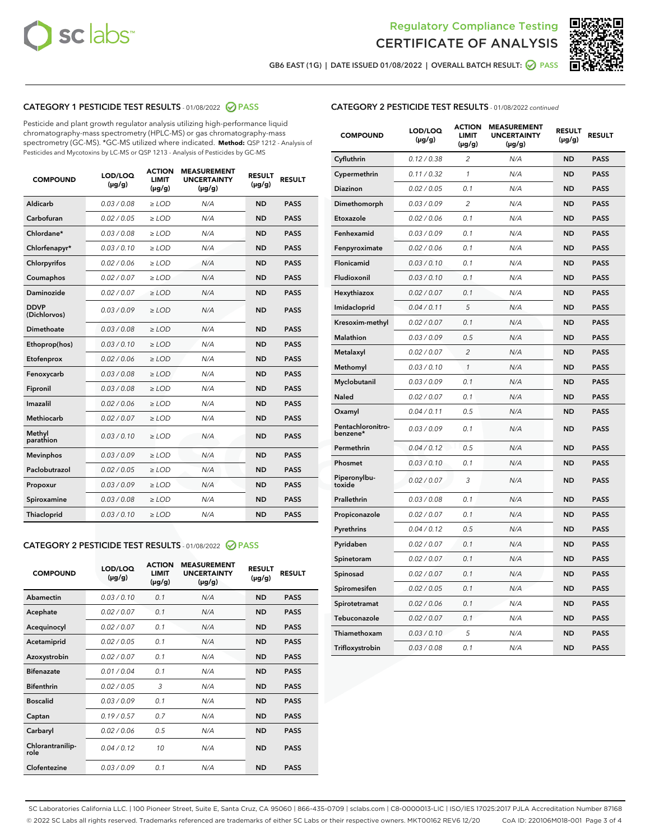



GB6 EAST (1G) | DATE ISSUED 01/08/2022 | OVERALL BATCH RESULT: @ PASS

# CATEGORY 1 PESTICIDE TEST RESULTS - 01/08/2022 2 PASS

Pesticide and plant growth regulator analysis utilizing high-performance liquid chromatography-mass spectrometry (HPLC-MS) or gas chromatography-mass spectrometry (GC-MS). \*GC-MS utilized where indicated. **Method:** QSP 1212 - Analysis of Pesticides and Mycotoxins by LC-MS or QSP 1213 - Analysis of Pesticides by GC-MS

| 0.03 / 0.08<br><b>ND</b><br><b>PASS</b><br>Aldicarb<br>$\ge$ LOD<br>N/A<br>Carbofuran<br><b>ND</b><br>0.02 / 0.05<br>$\ge$ LOD<br>N/A<br><b>PASS</b><br>Chlordane*<br>0.03 / 0.08<br>$\ge$ LOD<br>N/A<br><b>ND</b><br><b>PASS</b><br>Chlorfenapyr*<br>0.03/0.10<br>$\ge$ LOD<br>N/A<br><b>ND</b><br><b>PASS</b><br>Chlorpyrifos<br>0.02 / 0.06<br>N/A<br><b>ND</b><br><b>PASS</b><br>$\ge$ LOD<br>Coumaphos<br>0.02 / 0.07<br>N/A<br><b>ND</b><br><b>PASS</b><br>$\ge$ LOD<br>Daminozide<br>0.02 / 0.07<br>N/A<br><b>ND</b><br><b>PASS</b><br>$\ge$ LOD<br><b>DDVP</b><br>0.03/0.09<br>$>$ LOD<br>N/A<br><b>ND</b><br><b>PASS</b><br>(Dichlorvos)<br>Dimethoate<br>0.03 / 0.08<br>$\ge$ LOD<br><b>ND</b><br><b>PASS</b><br>N/A<br>0.03/0.10<br>N/A<br><b>ND</b><br><b>PASS</b><br>Ethoprop(hos)<br>$>$ LOD<br>N/A<br><b>ND</b><br><b>PASS</b><br>Etofenprox<br>0.02 / 0.06<br>$\ge$ LOD<br>Fenoxycarb<br>0.03 / 0.08<br>$\ge$ LOD<br>N/A<br><b>ND</b><br><b>PASS</b><br>0.03 / 0.08<br>$\ge$ LOD<br>N/A<br><b>ND</b><br><b>PASS</b><br>Fipronil<br>Imazalil<br>0.02 / 0.06<br>$\geq$ LOD<br>N/A<br><b>ND</b><br><b>PASS</b><br><b>Methiocarb</b><br>0.02 / 0.07<br>$\ge$ LOD<br>N/A<br><b>ND</b><br><b>PASS</b><br>Methyl<br>0.03/0.10<br>N/A<br><b>ND</b><br><b>PASS</b><br>$\ge$ LOD<br>parathion<br>0.03/0.09<br><b>Mevinphos</b><br>$\ge$ LOD<br>N/A<br><b>ND</b><br><b>PASS</b><br>Paclobutrazol<br>0.02 / 0.05<br>$>$ LOD<br>N/A<br><b>ND</b><br><b>PASS</b><br>0.03 / 0.09<br>N/A<br>$\ge$ LOD<br><b>ND</b><br><b>PASS</b><br>Propoxur<br>0.03 / 0.08<br><b>ND</b><br><b>PASS</b><br>Spiroxamine<br>$\ge$ LOD<br>N/A<br>Thiacloprid<br>0.03/0.10<br>$\ge$ LOD<br>N/A<br><b>ND</b><br><b>PASS</b> | <b>COMPOUND</b> | LOD/LOQ<br>$(\mu g/g)$ | <b>ACTION</b><br><b>LIMIT</b><br>$(\mu g/g)$ | <b>MEASUREMENT</b><br><b>UNCERTAINTY</b><br>$(\mu g/g)$ | <b>RESULT</b><br>$(\mu g/g)$ | <b>RESULT</b> |
|---------------------------------------------------------------------------------------------------------------------------------------------------------------------------------------------------------------------------------------------------------------------------------------------------------------------------------------------------------------------------------------------------------------------------------------------------------------------------------------------------------------------------------------------------------------------------------------------------------------------------------------------------------------------------------------------------------------------------------------------------------------------------------------------------------------------------------------------------------------------------------------------------------------------------------------------------------------------------------------------------------------------------------------------------------------------------------------------------------------------------------------------------------------------------------------------------------------------------------------------------------------------------------------------------------------------------------------------------------------------------------------------------------------------------------------------------------------------------------------------------------------------------------------------------------------------------------------------------------------------------------------------------------------------------------------------------------|-----------------|------------------------|----------------------------------------------|---------------------------------------------------------|------------------------------|---------------|
|                                                                                                                                                                                                                                                                                                                                                                                                                                                                                                                                                                                                                                                                                                                                                                                                                                                                                                                                                                                                                                                                                                                                                                                                                                                                                                                                                                                                                                                                                                                                                                                                                                                                                                         |                 |                        |                                              |                                                         |                              |               |
|                                                                                                                                                                                                                                                                                                                                                                                                                                                                                                                                                                                                                                                                                                                                                                                                                                                                                                                                                                                                                                                                                                                                                                                                                                                                                                                                                                                                                                                                                                                                                                                                                                                                                                         |                 |                        |                                              |                                                         |                              |               |
|                                                                                                                                                                                                                                                                                                                                                                                                                                                                                                                                                                                                                                                                                                                                                                                                                                                                                                                                                                                                                                                                                                                                                                                                                                                                                                                                                                                                                                                                                                                                                                                                                                                                                                         |                 |                        |                                              |                                                         |                              |               |
|                                                                                                                                                                                                                                                                                                                                                                                                                                                                                                                                                                                                                                                                                                                                                                                                                                                                                                                                                                                                                                                                                                                                                                                                                                                                                                                                                                                                                                                                                                                                                                                                                                                                                                         |                 |                        |                                              |                                                         |                              |               |
|                                                                                                                                                                                                                                                                                                                                                                                                                                                                                                                                                                                                                                                                                                                                                                                                                                                                                                                                                                                                                                                                                                                                                                                                                                                                                                                                                                                                                                                                                                                                                                                                                                                                                                         |                 |                        |                                              |                                                         |                              |               |
|                                                                                                                                                                                                                                                                                                                                                                                                                                                                                                                                                                                                                                                                                                                                                                                                                                                                                                                                                                                                                                                                                                                                                                                                                                                                                                                                                                                                                                                                                                                                                                                                                                                                                                         |                 |                        |                                              |                                                         |                              |               |
|                                                                                                                                                                                                                                                                                                                                                                                                                                                                                                                                                                                                                                                                                                                                                                                                                                                                                                                                                                                                                                                                                                                                                                                                                                                                                                                                                                                                                                                                                                                                                                                                                                                                                                         |                 |                        |                                              |                                                         |                              |               |
|                                                                                                                                                                                                                                                                                                                                                                                                                                                                                                                                                                                                                                                                                                                                                                                                                                                                                                                                                                                                                                                                                                                                                                                                                                                                                                                                                                                                                                                                                                                                                                                                                                                                                                         |                 |                        |                                              |                                                         |                              |               |
|                                                                                                                                                                                                                                                                                                                                                                                                                                                                                                                                                                                                                                                                                                                                                                                                                                                                                                                                                                                                                                                                                                                                                                                                                                                                                                                                                                                                                                                                                                                                                                                                                                                                                                         |                 |                        |                                              |                                                         |                              |               |
|                                                                                                                                                                                                                                                                                                                                                                                                                                                                                                                                                                                                                                                                                                                                                                                                                                                                                                                                                                                                                                                                                                                                                                                                                                                                                                                                                                                                                                                                                                                                                                                                                                                                                                         |                 |                        |                                              |                                                         |                              |               |
|                                                                                                                                                                                                                                                                                                                                                                                                                                                                                                                                                                                                                                                                                                                                                                                                                                                                                                                                                                                                                                                                                                                                                                                                                                                                                                                                                                                                                                                                                                                                                                                                                                                                                                         |                 |                        |                                              |                                                         |                              |               |
|                                                                                                                                                                                                                                                                                                                                                                                                                                                                                                                                                                                                                                                                                                                                                                                                                                                                                                                                                                                                                                                                                                                                                                                                                                                                                                                                                                                                                                                                                                                                                                                                                                                                                                         |                 |                        |                                              |                                                         |                              |               |
|                                                                                                                                                                                                                                                                                                                                                                                                                                                                                                                                                                                                                                                                                                                                                                                                                                                                                                                                                                                                                                                                                                                                                                                                                                                                                                                                                                                                                                                                                                                                                                                                                                                                                                         |                 |                        |                                              |                                                         |                              |               |
|                                                                                                                                                                                                                                                                                                                                                                                                                                                                                                                                                                                                                                                                                                                                                                                                                                                                                                                                                                                                                                                                                                                                                                                                                                                                                                                                                                                                                                                                                                                                                                                                                                                                                                         |                 |                        |                                              |                                                         |                              |               |
|                                                                                                                                                                                                                                                                                                                                                                                                                                                                                                                                                                                                                                                                                                                                                                                                                                                                                                                                                                                                                                                                                                                                                                                                                                                                                                                                                                                                                                                                                                                                                                                                                                                                                                         |                 |                        |                                              |                                                         |                              |               |
|                                                                                                                                                                                                                                                                                                                                                                                                                                                                                                                                                                                                                                                                                                                                                                                                                                                                                                                                                                                                                                                                                                                                                                                                                                                                                                                                                                                                                                                                                                                                                                                                                                                                                                         |                 |                        |                                              |                                                         |                              |               |
|                                                                                                                                                                                                                                                                                                                                                                                                                                                                                                                                                                                                                                                                                                                                                                                                                                                                                                                                                                                                                                                                                                                                                                                                                                                                                                                                                                                                                                                                                                                                                                                                                                                                                                         |                 |                        |                                              |                                                         |                              |               |
|                                                                                                                                                                                                                                                                                                                                                                                                                                                                                                                                                                                                                                                                                                                                                                                                                                                                                                                                                                                                                                                                                                                                                                                                                                                                                                                                                                                                                                                                                                                                                                                                                                                                                                         |                 |                        |                                              |                                                         |                              |               |
|                                                                                                                                                                                                                                                                                                                                                                                                                                                                                                                                                                                                                                                                                                                                                                                                                                                                                                                                                                                                                                                                                                                                                                                                                                                                                                                                                                                                                                                                                                                                                                                                                                                                                                         |                 |                        |                                              |                                                         |                              |               |
|                                                                                                                                                                                                                                                                                                                                                                                                                                                                                                                                                                                                                                                                                                                                                                                                                                                                                                                                                                                                                                                                                                                                                                                                                                                                                                                                                                                                                                                                                                                                                                                                                                                                                                         |                 |                        |                                              |                                                         |                              |               |
|                                                                                                                                                                                                                                                                                                                                                                                                                                                                                                                                                                                                                                                                                                                                                                                                                                                                                                                                                                                                                                                                                                                                                                                                                                                                                                                                                                                                                                                                                                                                                                                                                                                                                                         |                 |                        |                                              |                                                         |                              |               |

#### CATEGORY 2 PESTICIDE TEST RESULTS - 01/08/2022 2 PASS

| <b>COMPOUND</b>          | LOD/LOO<br>$(\mu g/g)$ | <b>ACTION</b><br>LIMIT<br>$(\mu g/g)$ | <b>MEASUREMENT</b><br><b>UNCERTAINTY</b><br>$(\mu g/g)$ | <b>RESULT</b><br>$(\mu g/g)$ | <b>RESULT</b> |  |
|--------------------------|------------------------|---------------------------------------|---------------------------------------------------------|------------------------------|---------------|--|
| Abamectin                | 0.03/0.10              | 0.1                                   | N/A                                                     | <b>ND</b>                    | <b>PASS</b>   |  |
| Acephate                 | 0.02/0.07              | 0.1                                   | N/A                                                     | <b>ND</b>                    | <b>PASS</b>   |  |
| Acequinocyl              | 0.02/0.07              | 0.1                                   | N/A                                                     | <b>ND</b>                    | <b>PASS</b>   |  |
| Acetamiprid              | 0.02 / 0.05            | 0.1                                   | N/A                                                     | <b>ND</b>                    | <b>PASS</b>   |  |
| Azoxystrobin             | 0.02/0.07              | 0.1                                   | N/A                                                     | <b>ND</b>                    | <b>PASS</b>   |  |
| <b>Bifenazate</b>        | 0.01 / 0.04            | 0.1                                   | N/A                                                     | <b>ND</b>                    | <b>PASS</b>   |  |
| <b>Bifenthrin</b>        | 0.02 / 0.05            | 3                                     | N/A                                                     | <b>ND</b>                    | <b>PASS</b>   |  |
| <b>Boscalid</b>          | 0.03/0.09              | 0.1                                   | N/A                                                     | <b>ND</b>                    | <b>PASS</b>   |  |
| Captan                   | 0.19/0.57              | 0.7                                   | N/A                                                     | <b>ND</b>                    | <b>PASS</b>   |  |
| Carbaryl                 | 0.02/0.06              | 0.5                                   | N/A                                                     | <b>ND</b>                    | <b>PASS</b>   |  |
| Chlorantranilip-<br>role | 0.04/0.12              | 10                                    | N/A                                                     | <b>ND</b>                    | <b>PASS</b>   |  |
| Clofentezine             | 0.03/0.09              | 0.1                                   | N/A                                                     | <b>ND</b>                    | <b>PASS</b>   |  |

# CATEGORY 2 PESTICIDE TEST RESULTS - 01/08/2022 continued

| <b>COMPOUND</b>               | LOD/LOQ<br>$(\mu g/g)$ | <b>ACTION</b><br>LIMIT<br>$(\mu g/g)$ | <b>MEASUREMENT</b><br><b>UNCERTAINTY</b><br>$(\mu g/g)$ | <b>RESULT</b><br>(µg/g) | <b>RESULT</b> |
|-------------------------------|------------------------|---------------------------------------|---------------------------------------------------------|-------------------------|---------------|
| Cyfluthrin                    | 0.12 / 0.38            | $\overline{2}$                        | N/A                                                     | <b>ND</b>               | <b>PASS</b>   |
| Cypermethrin                  | 0.11 / 0.32            | 1                                     | N/A                                                     | <b>ND</b>               | <b>PASS</b>   |
| Diazinon                      | 0.02 / 0.05            | 0.1                                   | N/A                                                     | ND                      | PASS          |
| Dimethomorph                  | 0.03 / 0.09            | 2                                     | N/A                                                     | ND                      | <b>PASS</b>   |
| Etoxazole                     | 0.02 / 0.06            | 0.1                                   | N/A                                                     | ND                      | <b>PASS</b>   |
| Fenhexamid                    | 0.03 / 0.09            | 0.1                                   | N/A                                                     | ND                      | <b>PASS</b>   |
| Fenpyroximate                 | 0.02 / 0.06            | 0.1                                   | N/A                                                     | ND                      | <b>PASS</b>   |
| Flonicamid                    | 0.03 / 0.10            | 0.1                                   | N/A                                                     | <b>ND</b>               | <b>PASS</b>   |
| Fludioxonil                   | 0.03 / 0.10            | 0.1                                   | N/A                                                     | ND                      | <b>PASS</b>   |
| Hexythiazox                   | 0.02 / 0.07            | 0.1                                   | N/A                                                     | <b>ND</b>               | <b>PASS</b>   |
| Imidacloprid                  | 0.04 / 0.11            | 5                                     | N/A                                                     | <b>ND</b>               | <b>PASS</b>   |
| Kresoxim-methyl               | 0.02 / 0.07            | 0.1                                   | N/A                                                     | <b>ND</b>               | <b>PASS</b>   |
| <b>Malathion</b>              | 0.03 / 0.09            | 0.5                                   | N/A                                                     | ND                      | <b>PASS</b>   |
| Metalaxyl                     | 0.02 / 0.07            | $\overline{c}$                        | N/A                                                     | <b>ND</b>               | <b>PASS</b>   |
| Methomyl                      | 0.03 / 0.10            | $\mathcal{I}$                         | N/A                                                     | ND                      | PASS          |
| Myclobutanil                  | 0.03 / 0.09            | 0.1                                   | N/A                                                     | <b>ND</b>               | <b>PASS</b>   |
| Naled                         | 0.02 / 0.07            | 0.1                                   | N/A                                                     | ND                      | <b>PASS</b>   |
| Oxamyl                        | 0.04 / 0.11            | 0.5                                   | N/A                                                     | ND                      | <b>PASS</b>   |
| Pentachloronitro-<br>benzene* | 0.03 / 0.09            | 0.1                                   | N/A                                                     | ND                      | <b>PASS</b>   |
| Permethrin                    | 0.04 / 0.12            | 0.5                                   | N/A                                                     | <b>ND</b>               | <b>PASS</b>   |
| Phosmet                       | 0.03 / 0.10            | 0.1                                   | N/A                                                     | ND                      | <b>PASS</b>   |
| Piperonylbu-<br>toxide        | 0.02 / 0.07            | 3                                     | N/A                                                     | ND                      | <b>PASS</b>   |
| Prallethrin                   | 0.03 / 0.08            | 0.1                                   | N/A                                                     | <b>ND</b>               | <b>PASS</b>   |
| Propiconazole                 | 0.02 / 0.07            | 0.1                                   | N/A                                                     | ND                      | PASS          |
| Pyrethrins                    | 0.04 / 0.12            | 0.5                                   | N/A                                                     | ND                      | <b>PASS</b>   |
| Pyridaben                     | 0.02 / 0.07            | 0.1                                   | N/A                                                     | <b>ND</b>               | <b>PASS</b>   |
| Spinetoram                    | 0.02 / 0.07            | 0.1                                   | N/A                                                     | ND                      | <b>PASS</b>   |
| Spinosad                      | 0.02 / 0.07            | 0.1                                   | N/A                                                     | <b>ND</b>               | <b>PASS</b>   |
| Spiromesifen                  | 0.02 / 0.05            | 0.1                                   | N/A                                                     | ND                      | <b>PASS</b>   |
| Spirotetramat                 | 0.02 / 0.06            | 0.1                                   | N/A                                                     | ND                      | <b>PASS</b>   |
| Tebuconazole                  | 0.02 / 0.07            | 0.1                                   | N/A                                                     | ND                      | <b>PASS</b>   |
| Thiamethoxam                  | 0.03 / 0.10            | 5                                     | N/A                                                     | ND                      | <b>PASS</b>   |
| Trifloxystrobin               | 0.03 / 0.08            | 0.1                                   | N/A                                                     | <b>ND</b>               | <b>PASS</b>   |

SC Laboratories California LLC. | 100 Pioneer Street, Suite E, Santa Cruz, CA 95060 | 866-435-0709 | sclabs.com | C8-0000013-LIC | ISO/IES 17025:2017 PJLA Accreditation Number 87168 © 2022 SC Labs all rights reserved. Trademarks referenced are trademarks of either SC Labs or their respective owners. MKT00162 REV6 12/20 CoA ID: 220106M018-001 Page 3 of 4